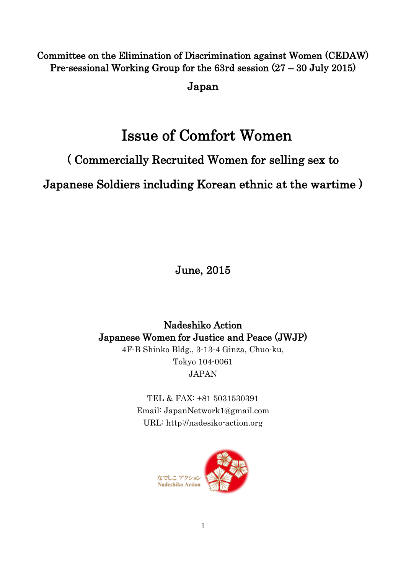## Committee on the Elimination of Discrimination against Women (CEDAW) Pre-sessional Working Group for the 63rd session (27 – 30 July 2015)

Japan

# Issue of Comfort Women

## ( Commercially Recruited Women for selling sex to

Japanese Soldiers including Korean ethnic at the wartime )

June, 2015

Nadeshiko Action Japanese Women for Justice and Peace (JWJP) 4F-B Shinko Bldg., 3-13-4 Ginza, Chuo-ku, Tokyo 104-0061 JAPAN

> TEL & FAX: +81 5031530391 Email: JapanNetwork1@gmail.com URL: http://nadesiko-action.org

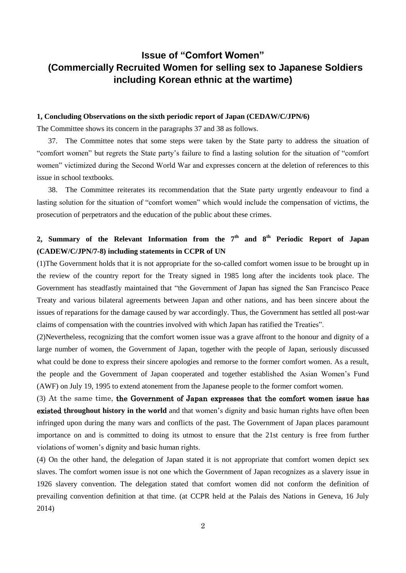## **Issue of "Comfort Women" (Commercially Recruited Women for selling sex to Japanese Soldiers including Korean ethnic at the wartime)**

#### **1, Concluding Observations on the sixth periodic report of Japan (CEDAW/C/JPN/6)**

The Committee shows its concern in the paragraphs 37 and 38 as follows.

37. The Committee notes that some steps were taken by the State party to address the situation of "comfort women" but regrets the State party's failure to find a lasting solution for the situation of "comfort women" victimized during the Second World War and expresses concern at the deletion of references to this issue in school textbooks.

38. The Committee reiterates its recommendation that the State party urgently endeavour to find a lasting solution for the situation of "comfort women" which would include the compensation of victims, the prosecution of perpetrators and the education of the public about these crimes.

## **2, Summary of the Relevant Information from the 7 th and 8th Periodic Report of Japan (CADEW/C/JPN/7-8) including statements in CCPR of UN**

(1)The Government holds that it is not appropriate for the so-called comfort women issue to be brought up in the review of the country report for the Treaty signed in 1985 long after the incidents took place. The Government has steadfastly maintained that "the Government of Japan has signed the San Francisco Peace Treaty and various bilateral agreements between Japan and other nations, and has been sincere about the issues of reparations for the damage caused by war accordingly. Thus, the Government has settled all post-war claims of compensation with the countries involved with which Japan has ratified the Treaties".

(2)Nevertheless, recognizing that the comfort women issue was a grave affront to the honour and dignity of a large number of women, the Government of Japan, together with the people of Japan, seriously discussed what could be done to express their sincere apologies and remorse to the former comfort women. As a result, the people and the Government of Japan cooperated and together established the Asian Women's Fund (AWF) on July 19, 1995 to extend atonement from the Japanese people to the former comfort women.

(3) At the same time, the Government of Japan expresses that the comfort women issue has existed t**hroughout history in the world** and that women's dignity and basic human rights have often been infringed upon during the many wars and conflicts of the past. The Government of Japan places paramount importance on and is committed to doing its utmost to ensure that the 21st century is free from further violations of women's dignity and basic human rights.

(4) On the other hand, the delegation of Japan stated it is not appropriate that comfort women depict sex slaves. The comfort women issue is not one which the Government of Japan recognizes as a slavery issue in 1926 slavery convention. The delegation stated that comfort women did not conform the definition of prevailing convention definition at that time. (at CCPR held at the Palais des Nations in Geneva, 16 July 2014)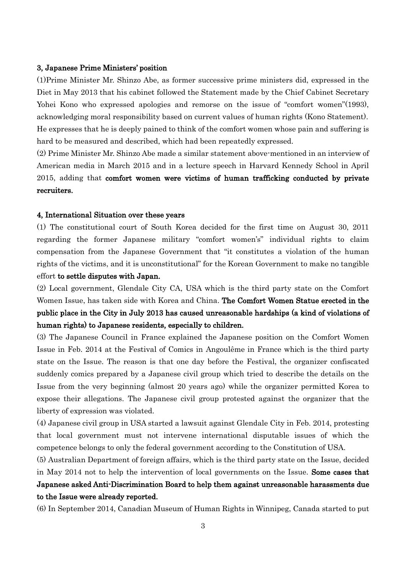#### 3, Japanese Prime Ministers' position

(1)Prime Minister Mr. Shinzo Abe, as former successive prime ministers did, expressed in the Diet in May 2013 that his cabinet followed the Statement made by the Chief Cabinet Secretary Yohei Kono who expressed apologies and remorse on the issue of "comfort women"(1993), acknowledging moral responsibility based on current values of human rights (Kono Statement). He expresses that he is deeply pained to think of the comfort women whose pain and suffering is hard to be measured and described, which had been repeatedly expressed.

(2) Prime Minister Mr. Shinzo Abe made a similar statement above-mentioned in an interview of American media in March 2015 and in a lecture speech in Harvard Kennedy School in April 2015, adding that comfort women were victims of human trafficking conducted by private recruiters.

#### 4, International Situation over these years

(1) The constitutional court of South Korea decided for the first time on August 30, 2011 regarding the former Japanese military "comfort women's" individual rights to claim compensation from the Japanese Government that "it constitutes a violation of the human rights of the victims, and it is unconstitutional" for the Korean Government to make no tangible effort to settle disputes with Japan.

(2) Local government, Glendale City CA, USA which is the third party state on the Comfort Women Issue, has taken side with Korea and China. The Comfort Women Statue erected in the public place in the City in July 2013 has caused unreasonable hardships (a kind of violations of human rights) to Japanese residents, especially to children.

(3) The Japanese Council in France explained the Japanese position on the Comfort Women Issue in Feb. 2014 at the Festival of Comics in Angoulême in France which is the third party state on the Issue. The reason is that one day before the Festival, the organizer confiscated suddenly comics prepared by a Japanese civil group which tried to describe the details on the Issue from the very beginning (almost 20 years ago) while the organizer permitted Korea to expose their allegations. The Japanese civil group protested against the organizer that the liberty of expression was violated.

(4) Japanese civil group in USA started a lawsuit against Glendale City in Feb. 2014, protesting that local government must not intervene international disputable issues of which the competence belongs to only the federal government according to the Constitution of USA.

(5) Australian Department of foreign affairs, which is the third party state on the Issue, decided in May 2014 not to help the intervention of local governments on the Issue. Some cases that Japanese asked Anti-Discrimination Board to help them against unreasonable harassments due to the Issue were already reported.

(6) In September 2014, Canadian Museum of Human Rights in Winnipeg, Canada started to put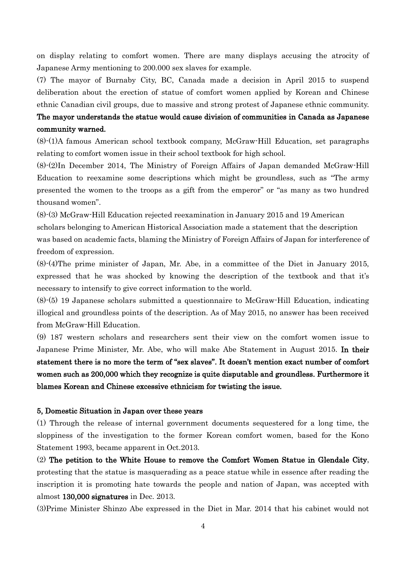on display relating to comfort women. There are many displays accusing the atrocity of Japanese Army mentioning to 200.000 sex slaves for example.

(7) The mayor of Burnaby City, BC, Canada made a decision in April 2015 to suspend deliberation about the erection of statue of comfort women applied by Korean and Chinese ethnic Canadian civil groups, due to massive and strong protest of Japanese ethnic community.

## The mayor understands the statue would cause division of communities in Canada as Japanese community warned.

(8)-(1)A famous American school textbook company, McGraw-Hill Education, set paragraphs relating to comfort women issue in their school textbook for high school.

(8)-(2)In December 2014, The Ministry of Foreign Affairs of Japan demanded McGraw-Hill Education to reexamine some descriptions which might be groundless, such as "The army presented the women to the troops as a gift from the emperor" or "as many as two hundred thousand women".

(8)-(3) McGraw-Hill Education rejected reexamination in January 2015 and 19 American scholars belonging to American Historical Association made a statement that the description was based on academic facts, blaming the Ministry of Foreign Affairs of Japan for interference of freedom of expression.

(8)-(4)The prime minister of Japan, Mr. Abe, in a committee of the Diet in January 2015, expressed that he was shocked by knowing the description of the textbook and that it's necessary to intensify to give correct information to the world.

(8)-(5) 19 Japanese scholars submitted a questionnaire to McGraw-Hill Education, indicating illogical and groundless points of the description. As of May 2015, no answer has been received from McGraw-Hill Education.

(9) 187 western scholars and researchers sent their view on the comfort women issue to Japanese Prime Minister, Mr. Abe, who will make Abe Statement in August 2015. In their statement there is no more the term of "sex slaves". It doesn't mention exact number of comfort women such as 200,000 which they recognize is quite disputable and groundless. Furthermore it blames Korean and Chinese excessive ethnicism for twisting the issue.

#### 5, Domestic Situation in Japan over these years

(1) Through the release of internal government documents sequestered for a long time, the sloppiness of the investigation to the former Korean comfort women, based for the Kono Statement 1993, became apparent in Oct.2013.

(2) The petition to the White House to remove the Comfort Women Statue in Glendale City, protesting that the statue is masquerading as a peace statue while in essence after reading the inscription it is promoting hate towards the people and nation of Japan, was accepted with almost 130,000 signatures in Dec. 2013.

(3)Prime Minister Shinzo Abe expressed in the Diet in Mar. 2014 that his cabinet would not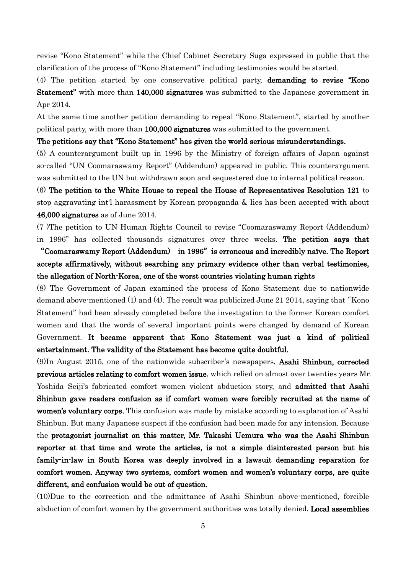revise "Kono Statement" while the Chief Cabinet Secretary Suga expressed in public that the clarification of the process of "Kono Statement" including testimonies would be started.

(4) The petition started by one conservative political party, demanding to revise "Kono Statement" with more than 140,000 signatures was submitted to the Japanese government in Apr 2014.

At the same time another petition demanding to repeal "Kono Statement", started by another political party, with more than 100,000 signatures was submitted to the government.

#### The petitions say that "Kono Statement" has given the world serious misunderstandings.

(5) A counterargument built up in 1996 by the Ministry of foreign affairs of Japan against so-called "UN Coomaraswamy Report" (Addendum) appeared in public. This counterargument was submitted to the UN but withdrawn soon and sequestered due to internal political reason.

(6) The petition to the White House to repeal the House of Representatives Resolution 121 to stop aggravating int'l harassment by Korean propaganda & lies has been accepted with about 46,000 signatures as of June 2014.

(7 )The petition to UN Human Rights Council to revise "Coomaraswamy Report (Addendum) in 1996" has collected thousands signatures over three weeks. The petition says that

## "Coomaraswamy Report (Addendum) in 1996"is erroneous and incredibly naïve. The Report accepts affirmatively, without searching any primary evidence other than verbal testimonies, the allegation of North-Korea, one of the worst countries violating human rights

(8) The Government of Japan examined the process of Kono Statement due to nationwide demand above-mentioned (1) and (4). The result was publicized June 21 2014, saying that"Kono Statement" had been already completed before the investigation to the former Korean comfort women and that the words of several important points were changed by demand of Korean Government. It became apparent that Kono Statement was just a kind of political entertainment. The validity of the Statement has become quite doubtful.

(9)In August 2015, one of the nationwide subscriber's newspapers, Asahi Shinbun, corrected previous articles relating to comfort women issue, which relied on almost over twenties years Mr. Yoshida Seiji's fabricated comfort women violent abduction story, and admitted that Asahi Shinbun gave readers confusion as if comfort women were forcibly recruited at the name of women's voluntary corps. This confusion was made by mistake according to explanation of Asahi Shinbun. But many Japanese suspect if the confusion had been made for any intension. Because the protagonist journalist on this matter, Mr. Takashi Uemura who was the Asahi Shinbun reporter at that time and wrote the articles, is not a simple disinterested person but his family-in-law in South Korea was deeply involved in a lawsuit demanding reparation for comfort women. Anyway two systems, comfort women and women's voluntary corps, are quite different, and confusion would be out of question.

(10)Due to the correction and the admittance of Asahi Shinbun above-mentioned, forcible abduction of comfort women by the government authorities was totally denied. Local assemblies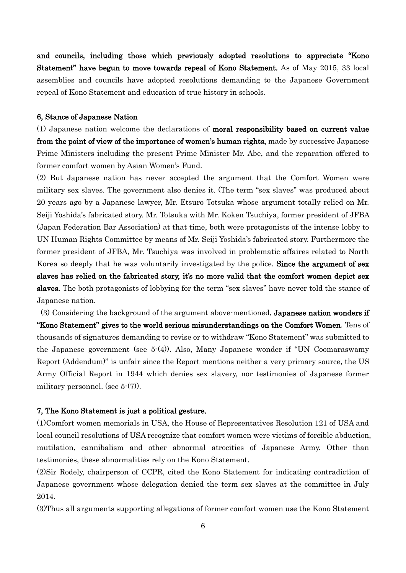and councils, including those which previously adopted resolutions to appreciate "Kono Statement" have begun to move towards repeal of Kono Statement. As of May 2015, 33 local assemblies and councils have adopted resolutions demanding to the Japanese Government repeal of Kono Statement and education of true history in schools.

#### 6, Stance of Japanese Nation

(1) Japanese nation welcome the declarations of moral responsibility based on current value from the point of view of the importance of women's human rights, made by successive Japanese Prime Ministers including the present Prime Minister Mr. Abe, and the reparation offered to former comfort women by Asian Women's Fund.

(2) But Japanese nation has never accepted the argument that the Comfort Women were military sex slaves. The government also denies it. (The term "sex slaves" was produced about 20 years ago by a Japanese lawyer, Mr. Etsuro Totsuka whose argument totally relied on Mr. Seiji Yoshida's fabricated story. Mr. Totsuka with Mr. Koken Tsuchiya, former president of JFBA (Japan Federation Bar Association) at that time, both were protagonists of the intense lobby to UN Human Rights Committee by means of Mr. Seiji Yoshida's fabricated story. Furthermore the former president of JFBA, Mr. Tsuchiya was involved in problematic affaires related to North Korea so deeply that he was voluntarily investigated by the police. Since the argument of sex slaves has relied on the fabricated story, it's no more valid that the comfort women depict sex slaves. The both protagonists of lobbying for the term "sex slaves" have never told the stance of Japanese nation.

(3) Considering the background of the argument above-mentioned, Japanese nation wonders if "Kono Statement" gives to the world serious misunderstandings on the Comfort Women. Tens of thousands of signatures demanding to revise or to withdraw "Kono Statement" was submitted to the Japanese government (see 5-(4)). Also, Many Japanese wonder if "UN Coomaraswamy Report (Addendum)" is unfair since the Report mentions neither a very primary source, the US Army Official Report in 1944 which denies sex slavery, nor testimonies of Japanese former military personnel. (see 5-(7)).

#### 7, The Kono Statement is just a political gesture.

(1)Comfort women memorials in USA, the House of Representatives Resolution 121 of USA and local council resolutions of USA recognize that comfort women were victims of forcible abduction, mutilation, cannibalism and other abnormal atrocities of Japanese Army. Other than testimonies, these abnormalities rely on the Kono Statement.

(2)Sir Rodely, chairperson of CCPR, cited the Kono Statement for indicating contradiction of Japanese government whose delegation denied the term sex slaves at the committee in July 2014.

(3)Thus all arguments supporting allegations of former comfort women use the Kono Statement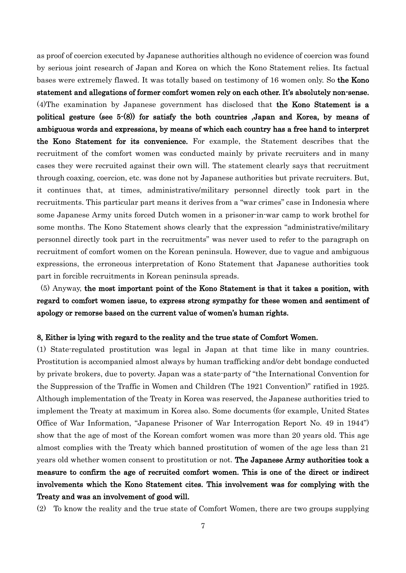as proof of coercion executed by Japanese authorities although no evidence of coercion was found by serious joint research of Japan and Korea on which the Kono Statement relies. Its factual bases were extremely flawed. It was totally based on testimony of 16 women only. So the Kono statement and allegations of former comfort women rely on each other. It's absolutely non-sense. (4)The examination by Japanese government has disclosed that the Kono Statement is a political gesture (see 5-(8)) for satisfy the both countries ,Japan and Korea, by means of ambiguous words and expressions, by means of which each country has a free hand to interpret the Kono Statement for its convenience. For example, the Statement describes that the recruitment of the comfort women was conducted mainly by private recruiters and in many cases they were recruited against their own will. The statement clearly says that recruitment through coaxing, coercion, etc. was done not by Japanese authorities but private recruiters. But, it continues that, at times, administrative/military personnel directly took part in the recruitments. This particular part means it derives from a "war crimes" case in Indonesia where some Japanese Army units forced Dutch women in a prisoner-in-war camp to work brothel for some months. The Kono Statement shows clearly that the expression "administrative/military personnel directly took part in the recruitments" was never used to refer to the paragraph on recruitment of comfort women on the Korean peninsula. However, due to vague and ambiguous expressions, the erroneous interpretation of Kono Statement that Japanese authorities took part in forcible recruitments in Korean peninsula spreads.

(5) Anyway, the most important point of the Kono Statement is that it takes a position, with regard to comfort women issue, to express strong sympathy for these women and sentiment of apology or remorse based on the current value of women's human rights.

#### 8, Either is lying with regard to the reality and the true state of Comfort Women.

(1) State-regulated prostitution was legal in Japan at that time like in many countries. Prostitution is accompanied almost always by human trafficking and/or debt bondage conducted by private brokers, due to poverty. Japan was a state-party of "the International Convention for the Suppression of the Traffic in Women and Children (The 1921 Convention)" ratified in 1925. Although implementation of the Treaty in Korea was reserved, the Japanese authorities tried to implement the Treaty at maximum in Korea also. Some documents (for example, United States Office of War Information, "Japanese Prisoner of War Interrogation Report No. 49 in 1944") show that the age of most of the Korean comfort women was more than 20 years old. This age almost complies with the Treaty which banned prostitution of women of the age less than 21 years old whether women consent to prostitution or not. The Japanese Army authorities took a measure to confirm the age of recruited comfort women. This is one of the direct or indirect involvements which the Kono Statement cites. This involvement was for complying with the Treaty and was an involvement of good will.

(2) To know the reality and the true state of Comfort Women, there are two groups supplying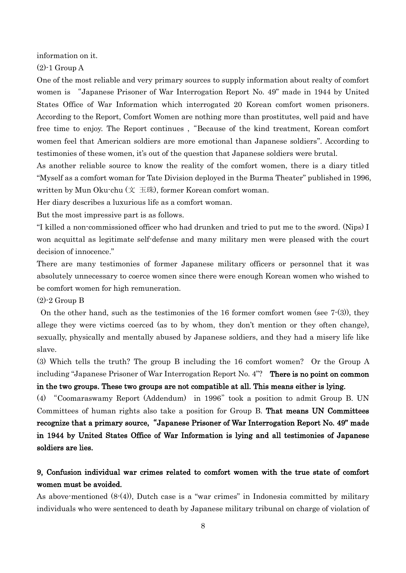information on it.

 $(2)$ -1 Group A

One of the most reliable and very primary sources to supply information about realty of comfort women is "Japanese Prisoner of War Interrogation Report No. 49" made in 1944 by United States Office of War Information which interrogated 20 Korean comfort women prisoners. According to the Report, Comfort Women are nothing more than prostitutes, well paid and have free time to enjoy. The Report continues, "Because of the kind treatment, Korean comfort women feel that American soldiers are more emotional than Japanese soldiers". According to testimonies of these women, it's out of the question that Japanese soldiers were brutal.

As another reliable source to know the reality of the comfort women, there is a diary titled "Myself as a comfort woman for Tate Division deployed in the Burma Theater" published in 1996, written by Mun Oku-chu (文 玉珠), former Korean comfort woman.

Her diary describes a luxurious life as a comfort woman.

But the most impressive part is as follows.

"I killed a non-commissioned officer who had drunken and tried to put me to the sword. (Nips) I won acquittal as legitimate self-defense and many military men were pleased with the court decision of innocence."

There are many testimonies of former Japanese military officers or personnel that it was absolutely unnecessary to coerce women since there were enough Korean women who wished to be comfort women for high remuneration.

(2)-2 Group B

On the other hand, such as the testimonies of the 16 former comfort women (see 7-(3)), they allege they were victims coerced (as to by whom, they don't mention or they often change), sexually, physically and mentally abused by Japanese soldiers, and they had a misery life like slave.

(3) Which tells the truth? The group B including the 16 comfort women? Or the Group A including "Japanese Prisoner of War Interrogation Report No. 4"? There is no point on common in the two groups. These two groups are not compatible at all. This means either is lying.

(4) "Coomaraswamy Report (Addendum) in 1996" took a position to admit Group B. UN Committees of human rights also take a position for Group B. That means UN Committees recognize that a primary source, "Japanese Prisoner of War Interrogation Report No. 49" made in 1944 by United States Office of War Information is lying and all testimonies of Japanese soldiers are lies.

## 9, Confusion individual war crimes related to comfort women with the true state of comfort women must be avoided.

As above-mentioned (8-(4)), Dutch case is a "war crimes" in Indonesia committed by military individuals who were sentenced to death by Japanese military tribunal on charge of violation of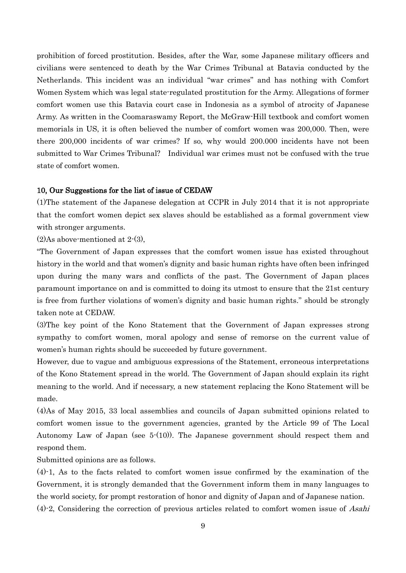prohibition of forced prostitution. Besides, after the War, some Japanese military officers and civilians were sentenced to death by the War Crimes Tribunal at Batavia conducted by the Netherlands. This incident was an individual "war crimes" and has nothing with Comfort Women System which was legal state-regulated prostitution for the Army. Allegations of former comfort women use this Batavia court case in Indonesia as a symbol of atrocity of Japanese Army. As written in the Coomaraswamy Report, the McGraw-Hill textbook and comfort women memorials in US, it is often believed the number of comfort women was 200,000. Then, were there 200,000 incidents of war crimes? If so, why would 200.000 incidents have not been submitted to War Crimes Tribunal? Individual war crimes must not be confused with the true state of comfort women.

#### 10, Our Suggestions for the list of issue of CEDAW

(1)The statement of the Japanese delegation at CCPR in July 2014 that it is not appropriate that the comfort women depict sex slaves should be established as a formal government view with stronger arguments.

(2)As above-mentioned at 2-(3),

"The Government of Japan expresses that the comfort women issue has existed throughout history in the world and that women's dignity and basic human rights have often been infringed upon during the many wars and conflicts of the past. The Government of Japan places paramount importance on and is committed to doing its utmost to ensure that the 21st century is free from further violations of women's dignity and basic human rights." should be strongly taken note at CEDAW.

(3)The key point of the Kono Statement that the Government of Japan expresses strong sympathy to comfort women, moral apology and sense of remorse on the current value of women's human rights should be succeeded by future government.

However, due to vague and ambiguous expressions of the Statement, erroneous interpretations of the Kono Statement spread in the world. The Government of Japan should explain its right meaning to the world. And if necessary, a new statement replacing the Kono Statement will be made.

(4)As of May 2015, 33 local assemblies and councils of Japan submitted opinions related to comfort women issue to the government agencies, granted by the Article 99 of The Local Autonomy Law of Japan (see 5-(10)). The Japanese government should respect them and respond them.

Submitted opinions are as follows.

(4)-1, As to the facts related to comfort women issue confirmed by the examination of the Government, it is strongly demanded that the Government inform them in many languages to the world society, for prompt restoration of honor and dignity of Japan and of Japanese nation.

 $(4)$ -2, Considering the correction of previous articles related to comfort women issue of Asahi